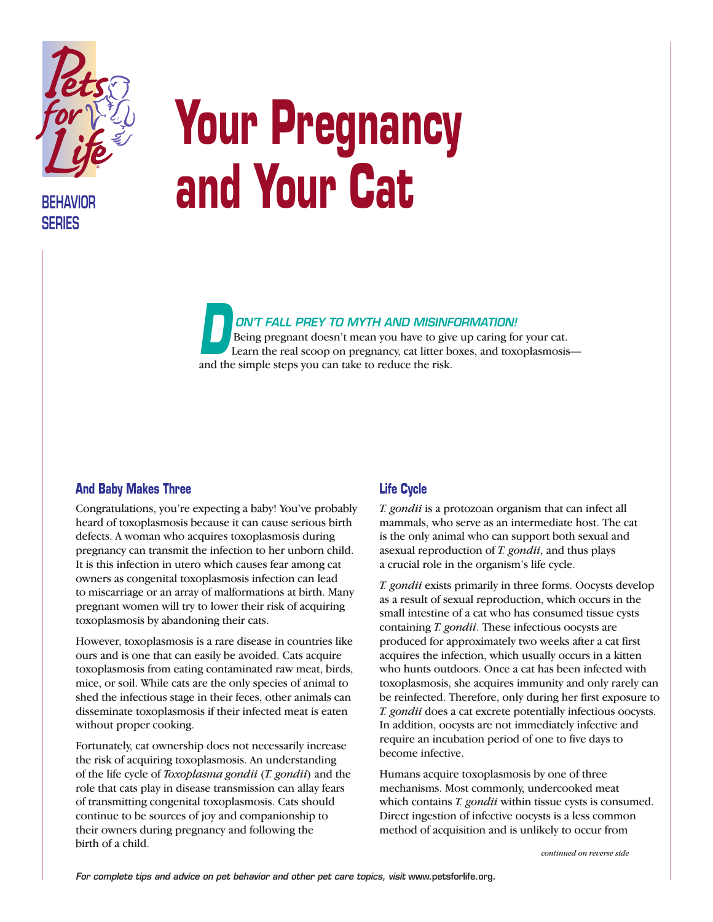

**BEHAVIOR SERIES**

# **Your Pregnancy and Your Cat**

*ON'T FALL PREY TO MYTH AND MISINFORMATION!*  Being pregnant doesn't mean you have to give up caring for your cat. Learn the real scoop on pregnancy, cat litter boxes, and toxoplasmosis— Being pregnant doesn't mean you have to give<br>Learn the real scoop on pregnancy, cat litter b<br>and the simple steps you can take to reduce the risk.

#### **And Baby Makes Three**

Congratulations, you're expecting a baby! You've probably heard of toxoplasmosis because it can cause serious birth defects. A woman who acquires toxoplasmosis during pregnancy can transmit the infection to her unborn child. It is this infection in utero which causes fear among cat owners as congenital toxoplasmosis infection can lead to miscarriage or an array of malformations at birth. Many pregnant women will try to lower their risk of acquiring toxoplasmosis by abandoning their cats.

However, toxoplasmosis is a rare disease in countries like ours and is one that can easily be avoided. Cats acquire toxoplasmosis from eating contaminated raw meat, birds, mice, or soil. While cats are the only species of animal to shed the infectious stage in their feces, other animals can disseminate toxoplasmosis if their infected meat is eaten without proper cooking.

Fortunately, cat ownership does not necessarily increase the risk of acquiring toxoplasmosis. An understanding of the life cycle of *Toxoplasma gondii* (*T. gondii*) and the role that cats play in disease transmission can allay fears of transmitting congenital toxoplasmosis. Cats should continue to be sources of joy and companionship to their owners during pregnancy and following the birth of a child.

### **Life Cycle**

*T. gondii* is a protozoan organism that can infect all mammals, who serve as an intermediate host. The cat is the only animal who can support both sexual and asexual reproduction of *T. gondii*, and thus plays a crucial role in the organism's life cycle.

*T. gondii* exists primarily in three forms. Oocysts develop as a result of sexual reproduction, which occurs in the small intestine of a cat who has consumed tissue cysts containing *T. gondii*. These infectious oocysts are produced for approximately two weeks after a cat first acquires the infection, which usually occurs in a kitten who hunts outdoors. Once a cat has been infected with toxoplasmosis, she acquires immunity and only rarely can be reinfected. Therefore, only during her first exposure to *T. gondii* does a cat excrete potentially infectious oocysts. In addition, oocysts are not immediately infective and require an incubation period of one to five days to become infective.

Humans acquire toxoplasmosis by one of three mechanisms. Most commonly, undercooked meat which contains *T. gondii* within tissue cysts is consumed. Direct ingestion of infective oocysts is a less common method of acquisition and is unlikely to occur from

*continued on reverse side*